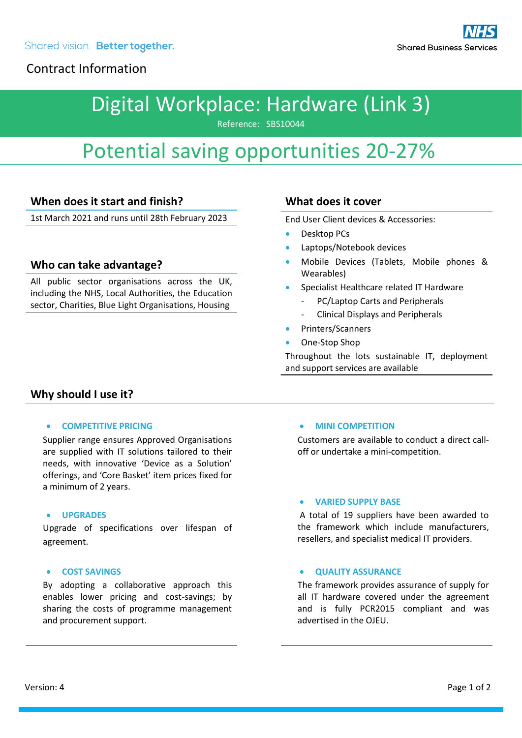# Digital Workplace: Hardware (Link 3)

Reference: SBS10044

# Potential saving opportunities 20-27%

## **When does it start and finish?**

1st March 2021 and runs until 28th February 2023

### **Who can take advantage?**

All public sector organisations across the UK, including the NHS, Local Authorities, the Education sector, Charities, Blue Light Organisations, Housing

### **What does it cover**

End User Client devices & Accessories:

- Desktop PCs
- Laptops/Notebook devices
- Mobile Devices (Tablets, Mobile phones & Wearables)
- Specialist Healthcare related IT Hardware
	- PC/Laptop Carts and Peripherals
	- Clinical Displays and Peripherals
- Printers/Scanners
- One-Stop Shop

Throughout the lots sustainable IT, deployment and support services are available

### **Why should I use it?**

#### • **COMPETITIVE PRICING**

Supplier range ensures Approved Organisations are supplied with IT solutions tailored to their needs, with innovative 'Device as a Solution' offerings, and 'Core Basket' item prices fixed for a minimum of 2 years.

#### • **UPGRADES**

Upgrade of specifications over lifespan of agreement.

#### • **COST SAVINGS**

By adopting a collaborative approach this enables lower pricing and cost-savings; by sharing the costs of programme management and procurement support.

#### • **MINI COMPETITION**

Customers are available to conduct a direct calloff or undertake a mini-competition.

#### • **VARIED SUPPLY BASE**

A total of 19 suppliers have been awarded to the framework which include manufacturers, resellers, and specialist medical IT providers.

#### • **QUALITY ASSURANCE**

The framework provides assurance of supply for all IT hardware covered under the agreement and is fully PCR2015 compliant and was advertised in the OJEU.